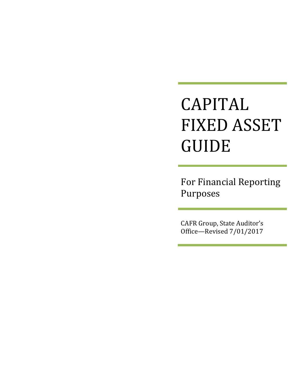# CAPITAL **FIXED ASSET** GUIDE

For Financial Reporting Purposes 

CAFR Group, State Auditor's Office-Revised  $7/01/2017$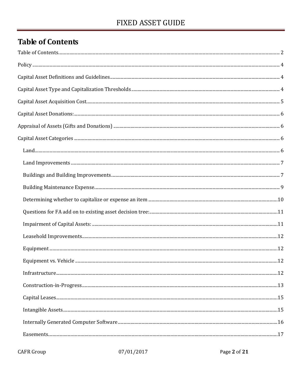# **Table of Contents**

| $In first structure. 12$ |  |
|--------------------------|--|
|                          |  |
|                          |  |
|                          |  |
|                          |  |
|                          |  |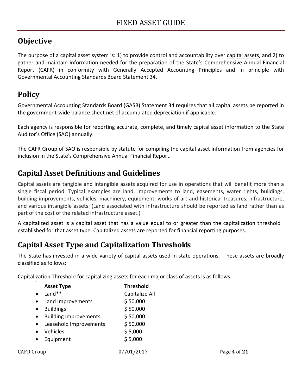# **Objective**

The purpose of a capital asset system is: 1) to provide control and accountability over capital assets, and 2) to gather and maintain information needed for the preparation of the State's Comprehensive Annual Financial Report (CAFR) in conformity with Generally Accepted Accounting Principles and in principle with Governmental Accounting Standards Board Statement 34.

# **Policy**

.

Governmental Accounting Standards Board (GASB) Statement 34 requires that all capital assets be reported in the government‐wide balance sheet net of accumulated depreciation if applicable.

Each agency is responsible for reporting accurate, complete, and timely capital asset information to the State Auditor's Office (SAO) annually.

The CAFR Group of SAO is responsible by statute for compiling the capital asset information from agencies for inclusion in the State's Comprehensive Annual Financial Report.

# **Capital Asset Definitions and Guidelines**

Capital assets are tangible and intangible assets acquired for use in operations that will benefit more than a single fiscal period. Typical examples are land, improvements to land, easements, water rights, buildings, building improvements, vehicles, machinery, equipment, works of art and historical treasures, infrastructure, and various intangible assets. (Land associated with infrastructure should be reported as land rather than as part of the cost of the related infrastructure asset.)

A capitalized asset is a capital asset that has a value equal to or greater than the capitalization threshold established for that asset type. Capitalized assets are reported for financial reporting purposes.

# **Capital Asset Type and Capitalization Thresholds**

The State has invested in a wide variety of capital assets used in state operations. These assets are broadly classified as follows:

Capitalization Threshold for capitalizing assets for each major class of assets is as follows:

|                   | <b>Asset Type</b>            | <b>Threshold</b> |              |
|-------------------|------------------------------|------------------|--------------|
| $\bullet$         | Land**                       | Capitalize All   |              |
| $\bullet$         | Land Improvements            | \$50,000         |              |
| $\bullet$         | <b>Buildings</b>             | \$50,000         |              |
| $\bullet$         | <b>Building Improvements</b> | \$50,000         |              |
| $\bullet$         | Leasehold Improvements       | \$50,000         |              |
| $\bullet$         | Vehicles                     | \$5,000          |              |
| $\bullet$         | Equipment                    | \$5,000          |              |
| <b>CAFR Group</b> |                              | 07/01/2017       | Page 4 of 21 |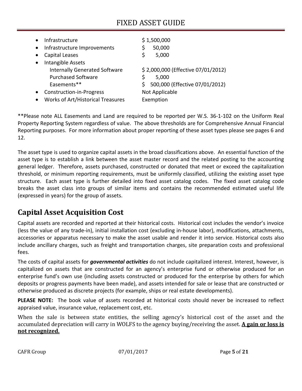| $\bullet$<br>$\bullet$ | Infrastructure<br>Infrastructure Improvements | \$1,500,000<br>50,000<br>\$           |
|------------------------|-----------------------------------------------|---------------------------------------|
|                        | Capital Leases                                | \$<br>5,000                           |
|                        | Intangible Assets                             |                                       |
|                        | <b>Internally Generated Software</b>          | \$2,000,000 (Effective 07/01/2012)    |
|                        | <b>Purchased Software</b>                     | 5,000                                 |
|                        | Easements**                                   | 500,000 (Effective 07/01/2012)<br>\$. |
| ٠                      | Construction-in-Progress                      | Not Applicable                        |
|                        | Works of Art/Historical Treasures             | Exemption                             |

\*\*Please note ALL Easements and Land are required to be reported per W.S. 36‐1‐102 on the Uniform Real Property Reporting System regardless of value. The above thresholds are for Comprehensive Annual Financial Reporting purposes. For more information about proper reporting of these asset types please see pages 6 and 12.

The asset type is used to organize capital assets in the broad classifications above. An essential function of the asset type is to establish a link between the asset master record and the related posting to the accounting general ledger. Therefore, assets purchased, constructed or donated that meet or exceed the capitalization threshold, or minimum reporting requirements, must be uniformly classified, utilizing the existing asset type structure. Each asset type is further detailed into fixed asset catalog codes. The fixed asset catalog code breaks the asset class into groups of similar items and contains the recommended estimated useful life (expressed in years) for the group of assets.

## **Capital Asset Acquisition Cost**

Capital assets are recorded and reported at their historical costs. Historical cost includes the vendor's invoice (less the value of any trade‐in), initial installation cost (excluding in‐house labor), modifications, attachments, accessories or apparatus necessary to make the asset usable and render it into service. Historical costs also include ancillary charges, such as freight and transportation charges, site preparation costs and professional fees.

The costs of capital assets for *governmental activities* do not include capitalized interest. Interest, however, is capitalized on assets that are constructed for an agency's enterprise fund or otherwise produced for an enterprise fund's own use (including assets constructed or produced for the enterprise by others for which deposits or progress payments have been made), and assets intended for sale or lease that are constructed or otherwise produced as discrete projects (for example, ships or real estate developments).

**PLEASE NOTE:** The book value of assets recorded at historical costs should never be increased to reflect appraised value, insurance value, replacement cost, etc.

When the sale is between state entities, the selling agency's historical cost of the asset and the accumulated depreciation will carry in WOLFS to the agency buying/receiving the asset. **A gain or loss is not recognized.**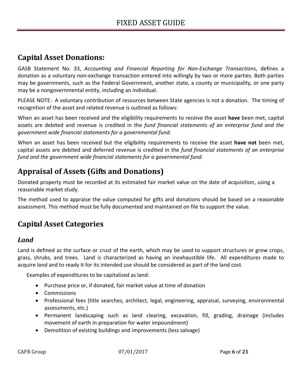### **Capital Asset Donations:**

GASB Statement No. 33, *Accounting and Financial Reporting for Non‐Exchange Transaction*s, defines a donation as a voluntary non‐exchange transaction entered into willingly by two or more parties. Both parties may be governments, such as the Federal Government, another state, a county or municipality, or one party may be a nongovernmental entity, including an individual.

PLEASE NOTE: A voluntary contribution of resources between State agencies is not a donation. The timing of recognition of the asset and related revenue is outlined as follows:

When an asset has been received and the eligibility requirements to receive the asset **have** been met, capital assets are debited and revenue is credited in the *fund financial statements of an enterprise fund and the government wide financial statements for a governmental fund.*

When an asset has been received but the eligibility requirements to receive the asset **have not** been met, capital assets are debited and deferred revenue is credited in the *fund financial statements of an enterprise fund and the government wide financial statements for a governmental fund.*

# **Appraisal of Assets (Gifts and Donations)**

Donated property must be recorded at its estimated fair market value on the date of acquisition, using a reasonable market study.

The method used to appraise the value computed for gifts and donations should be based on a reasonable assessment. This method must be fully documented and maintained on file to support the value.

# **Capital Asset Categories**

### *Land*

Land is defined as the surface or crust of the earth, which may be used to support structures or grow crops, grass, shrubs, and trees. Land is characterized as having an inexhaustible life. All expenditures made to acquire land and to ready it for its intended use should be considered as part of the land cost.

Examples of expenditures to be capitalized as land:

- Purchase price or, if donated, fair market value at time of donation
- Commissions
- Professional fees (title searches, architect, legal, engineering, appraisal, surveying, environmental assessments, etc.)
- Permanent landscaping such as land clearing, excavation, fill, grading, drainage (includes movement of earth in preparation for water impoundment)
- Demolition of existing buildings and improvements (less salvage)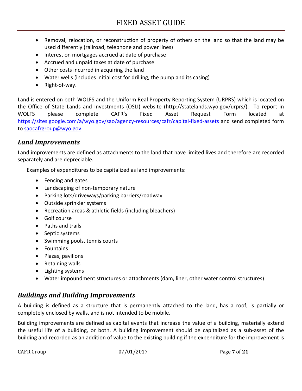- Removal, relocation, or reconstruction of property of others on the land so that the land may be used differently (railroad, telephone and power lines)
- Interest on mortgages accrued at date of purchase
- Accrued and unpaid taxes at date of purchase
- Other costs incurred in acquiring the land
- Water wells (includes initial cost for drilling, the pump and its casing)
- Right-of-way.

Land is entered on both WOLFS and the Uniform Real Property Reporting System (URPRS) which is located on the Office of State Lands and Investments (OSLI) website (http://statelands.wyo.gov/urprs/). To report in WOLFS please complete CAFR's Fixed Asset Request Form located at https://sites.google.com/a/wyo.gov/sao/agency-resources/cafr/capital-fixed-assets and send completed form to saocafrgroup@wyo.gov.

#### *Land Improvements*

Land improvements are defined as attachments to the land that have limited lives and therefore are recorded separately and are depreciable.

Examples of expenditures to be capitalized as land improvements:

- Fencing and gates
- Landscaping of non-temporary nature
- Parking lots/driveways/parking barriers/roadway
- Outside sprinkler systems
- Recreation areas & athletic fields (including bleachers)
- Golf course
- Paths and trails
- Septic systems
- Swimming pools, tennis courts
- Fountains
- Plazas, pavilions
- Retaining walls
- Lighting systems
- Water impoundment structures or attachments (dam, liner, other water control structures)

### *Buildings and Building Improvements*

A building is defined as a structure that is permanently attached to the land, has a roof, is partially or completely enclosed by walls, and is not intended to be mobile.

Building improvements are defined as capital events that increase the value of a building, materially extend the useful life of a building, or both. A building improvement should be capitalized as a sub‐asset of the building and recorded as an addition of value to the existing building if the expenditure for the improvement is

CAFR Group **07/01/2017** Page 7 of 21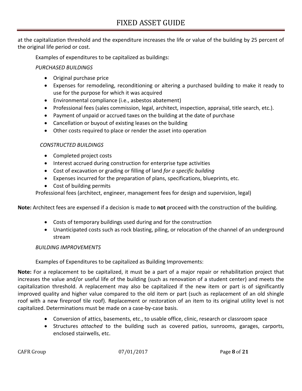at the capitalization threshold and the expenditure increases the life or value of the building by 25 percent of the original life period or cost.

Examples of expenditures to be capitalized as buildings:

#### *PURCHASED BUILDINGS*

- Original purchase price
- Expenses for remodeling, reconditioning or altering a purchased building to make it ready to use for the purpose for which it was acquired
- Environmental compliance (i.e., asbestos abatement)
- Professional fees (sales commission, legal, architect, inspection, appraisal, title search, etc.).
- Payment of unpaid or accrued taxes on the building at the date of purchase
- Cancellation or buyout of existing leases on the building
- Other costs required to place or render the asset into operation

#### *CONSTRUCTED BUILDINGS*

- Completed project costs
- Interest accrued during construction for enterprise type activities
- Cost of excavation or grading or filling of land *for a specific building*
- Expenses incurred for the preparation of plans, specifications, blueprints, etc.
- Cost of building permits

Professional fees (architect, engineer, management fees for design and supervision, legal)

**Note:** Architect fees are expensed if a decision is made to **not** proceed with the construction of the building.

- Costs of temporary buildings used during and for the construction
- Unanticipated costs such as rock blasting, piling, or relocation of the channel of an underground stream

#### *BUILDING IMPROVEMENTS*

Examples of Expenditures to be capitalized as Building Improvements:

**Note:** For a replacement to be capitalized, it must be a part of a major repair or rehabilitation project that increases the value and/or useful life of the building (such as renovation of a student center) and meets the capitalization threshold. A replacement may also be capitalized if the new item or part is of significantly improved quality and higher value compared to the old item or part (such as replacement of an old shingle roof with a new fireproof tile roof). Replacement or restoration of an item to its original utility level is not capitalized. Determinations must be made on a case‐by‐case basis.

- Conversion of attics, basements, etc., to usable office, clinic, research or classroom space
- Structures *attached* to the building such as covered patios, sunrooms, garages, carports, enclosed stairwells, etc.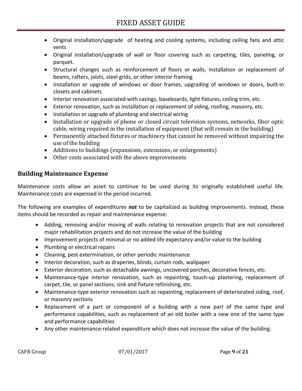- Original installation/upgrade of heating and cooling systems, including ceiling fans and attic vents
- Original installation/upgrade of wall or floor covering such as carpeting, tiles, paneling, or parquet.
- Structural changes such as reinforcement of floors or walls, installation or replacement of beams, rafters, joists, steel grids, or other interior framing
- Installation or upgrade of windows or door frames, upgrading of windows or doors, built-in closets and cabinets
- Interior renovation associated with casings, baseboards, light fixtures, ceiling trim, etc.
- Exterior renovation, such as installation or replacement of siding, roofing, masonry, etc.
- Installation or upgrade of plumbing and electrical wiring
- Installation or upgrade of phone or closed circuit television systems, networks, fiber optic cable, wiring required in the installation of equipment (that will remain in the building)
- Permanently attached fixtures or machinery that cannot be removed without impairing the use of the building
- Additions to buildings (expansions, extensions, or enlargements)
- Other costs associated with the above improvements

#### **Building Maintenance Expense**

Maintenance costs allow an asset to continue to be used during its originally established useful life. Maintenance costs are expensed in the period incurred.

The following are examples of expenditures *not* to be capitalized as building improvements. Instead, these items should be recorded as repair and maintenance expense:

- Adding, removing and/or moving of walls relating to renovation projects that are not considered major rehabilitation projects and do not increase the value of the building
- Improvement projects of minimal or no added life expectancy and/or value to the building
- Plumbing or electrical repairs
- Cleaning, pest extermination, or other periodic maintenance
- Interior decoration, such as draperies, blinds, curtain rods, wallpaper
- Exterior decoration, such as detachable awnings, uncovered porches, decorative fences, etc.
- Maintenance-type interior renovation, such as repainting, touch-up plastering, replacement of carpet, tile, or panel sections; sink and fixture refinishing, etc.
- Maintenance-type exterior renovation such as repainting, replacement of deteriorated siding, roof, or masonry sections
- Replacement of a part or component of a building with a new part of the same type and performance capabilities, such as replacement of an old boiler with a new one of the same type and performance capabilities
- Any other maintenance-related expenditure which does not increase the value of the building.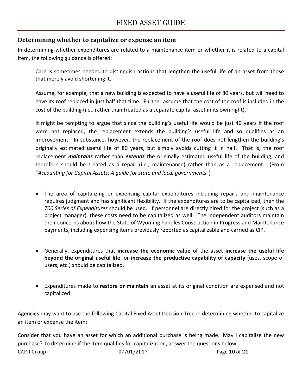#### **Determining whether to capitalize or expense an item**

In determining whether expenditures are related to a maintenance item or whether it is related to a capital item, the following guidance is offered:

Care is sometimes needed to distinguish actions that lengthen the useful life of an asset from those that merely avoid shortening it.

Assume, for example, that a new building is expected to have a useful life of 80 years, but will need to have its roof replaced in just half that time. Further assume that the cost of the roof is included in the cost of the building (i.e., rather than treated as a separate capital asset in its own right).

It might be tempting to argue that since the building's useful life would be just 40 years if the roof were not replaced, the replacement extends the building's useful life and so qualifies as an improvement. In substance, however, the replacement of the roof does not lengthen the building's originally estimated useful life of 80 years, but simply avoids cutting it in half. That is, the roof replacement *maintains* rather than *extends* the originally estimated useful life of the building, and therefore should be treated as a repair (i.e., maintenance) rather than as a replacement. (From "*Accounting for Capital Assets; A guide for state and local governments*")

- The area of capitalizing or expensing capital expenditures including repairs and maintenance requires judgment and has significant flexibility. If the expenditures are to be capitalized, then the *700 Series of Expenditures* should be used. If personnel are directly hired for the project (such as a project manager), these costs need to be capitalized as well. The independent auditors maintain their concerns about how the State of Wyoming handles Construction in Progress and Maintenance payments, including expensing items previously reported as capitalizable and carried as CIP.
- Generally, expenditures that **increase the economic value** of the asset **increase the useful life beyond the original useful life**, or **increase the productive capability of capacity** (uses, scope of users, etc.) should be capitalized.
- Expenditures made to **restore or maintain** an asset at its original condition are expensed and not capitalized.

Agencies may want to use the following Capital Fixed Asset Decision Tree in determining whether to capitalize an item or expense the item:

CAFR Group **10.12017 Page 10.05 21** Consider that you have an asset for which an additional purchase is being made. May I capitalize the new purchase? To determine if the item qualifies for capitalization, answer the questions below.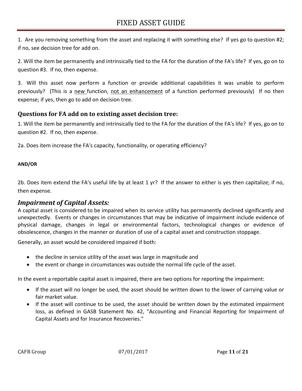1. Are you removing something from the asset and replacing it with something else? If yes go to question #2; if no, see decision tree for add on.

2. Will the item be permanently and intrinsically tied to the FA for the duration of the FA's life? If yes, go on to question #3. If no, then expense.

3. Will this asset now perform a function or provide additional capabilities it was unable to perform previously? (This is a new function, not an enhancement of a function performed previously) If no then expense; if yes, then go to add on decision tree.

#### **Questions for FA add on to existing asset decision tree:**

1. Will the item be permanently and intrinsically tied to the FA for the duration of the FA's life? If yes, go on to question #2. If no, then expense.

2a. Does item increase the FA's capacity, functionality, or operating efficiency?

#### **AND/OR**

2b. Does item extend the FA's useful life by at least 1 yr? If the answer to either is yes then capitalize; if no, then expense.

#### *Impairment of Capital Assets:*

A capital asset is considered to be impaired when its service utility has permanently declined significantly and unexpectedly. Events or changes in circumstances that may be indicative of impairment include evidence of physical damage, changes in legal or environmental factors, technological changes or evidence of obsolescence, changes in the manner or duration of use of a capital asset and construction stoppage.

Generally, an asset would be considered impaired if both:

- the decline in service utility of the asset was large in magnitude and
- the event or change in circumstances was outside the normal life cycle of the asset.

In the event a reportable capital asset is impaired, there are two options for reporting the impairment:

- If the asset will no longer be used, the asset should be written down to the lower of carrying value or fair market value.
- If the asset will continue to be used, the asset should be written down by the estimated impairment loss, as defined in GASB Statement No. 42, "Accounting and Financial Reporting for Impairment of Capital Assets and for Insurance Recoveries."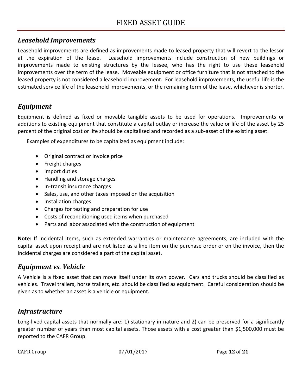#### *Leasehold Improvements*

Leasehold improvements are defined as improvements made to leased property that will revert to the lessor at the expiration of the lease. Leasehold improvements include construction of new buildings or improvements made to existing structures by the lessee, who has the right to use these leasehold improvements over the term of the lease. Moveable equipment or office furniture that is not attached to the leased property is not considered a leasehold improvement. For leasehold improvements, the useful life is the estimated service life of the leasehold improvements, or the remaining term of the lease, whichever is shorter.

### *Equipment*

Equipment is defined as fixed or movable tangible assets to be used for operations. Improvements or additions to existing equipment that constitute a capital outlay or increase the value or life of the asset by 25 percent of the original cost or life should be capitalized and recorded as a sub‐asset of the existing asset.

Examples of expenditures to be capitalized as equipment include:

- Original contract or invoice price
- Freight charges
- Import duties
- Handling and storage charges
- In-transit insurance charges
- Sales, use, and other taxes imposed on the acquisition
- Installation charges
- Charges for testing and preparation for use
- Costs of reconditioning used items when purchased
- Parts and labor associated with the construction of equipment

**Note:** If incidental items, such as extended warranties or maintenance agreements, are included with the capital asset upon receipt and are not listed as a line item on the purchase order or on the invoice, then the incidental charges are considered a part of the capital asset.

### *Equipment vs. Vehicle*

A Vehicle is a fixed asset that can move itself under its own power. Cars and trucks should be classified as vehicles. Travel trailers, horse trailers, etc. should be classified as equipment. Careful consideration should be given as to whether an asset is a vehicle or equipment.

### *Infrastructure*

Long-lived capital assets that normally are: 1) stationary in nature and 2) can be preserved for a significantly greater number of years than most capital assets. Those assets with a cost greater than \$1,500,000 must be reported to the CAFR Group.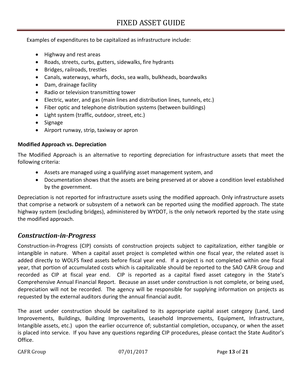Examples of expenditures to be capitalized as infrastructure include:

- Highway and rest areas
- Roads, streets, curbs, gutters, sidewalks, fire hydrants
- Bridges, railroads, trestles
- Canals, waterways, wharfs, docks, sea walls, bulkheads, boardwalks
- Dam, drainage facility
- Radio or television transmitting tower
- Electric, water, and gas (main lines and distribution lines, tunnels, etc.)
- Fiber optic and telephone distribution systems (between buildings)
- Light system (traffic, outdoor, street, etc.)
- Signage
- Airport runway, strip, taxiway or apron

#### **Modified Approach vs. Depreciation**

The Modified Approach is an alternative to reporting depreciation for infrastructure assets that meet the following criteria:

- Assets are managed using a qualifying asset management system, and
- Documentation shows that the assets are being preserved at or above a condition level established by the government.

Depreciation is not reported for infrastructure assets using the modified approach. Only infrastructure assets that comprise a network or subsystem of a network can be reported using the modified approach. The state highway system (excluding bridges), administered by WYDOT, is the only network reported by the state using the modified approach.

#### *Construction‐in‐Progress*

Construction‐in‐Progress (CIP) consists of construction projects subject to capitalization, either tangible or intangible in nature. When a capital asset project is completed within one fiscal year, the related asset is added directly to WOLFS fixed assets before fiscal year end. If a project is not completed within one fiscal year, that portion of accumulated costs which is capitalizable should be reported to the SAO CAFR Group and recorded as CIP at fiscal year end. CIP is reported as a capital fixed asset category in the State's Comprehensive Annual Financial Report. Because an asset under construction is not complete, or being used, depreciation will not be recorded. The agency will be responsible for supplying information on projects as requested by the external auditors during the annual financial audit.

The asset under construction should be capitalized to its appropriate capital asset category (Land, Land Improvements, Buildings, Building Improvements, Leasehold Improvements, Equipment, Infrastructure, Intangible assets, etc.) upon the earlier occurrence of; substantial completion, occupancy, or when the asset is placed into service. If you have any questions regarding CIP procedures, please contact the State Auditor's Office.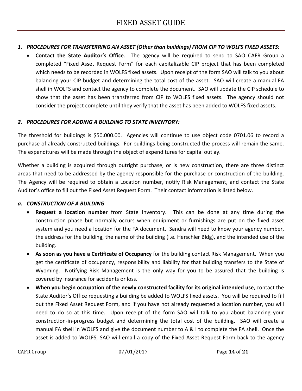#### *1. PROCEDURES FOR TRANSFERRING AN ASSET (Other than buildings) FROM CIP TO WOLFS FIXED ASSETS:*

 **Contact the State Auditor's Office**. The agency will be required to send to SAO CAFR Group a completed "Fixed Asset Request Form" for each capitalizable CIP project that has been completed which needs to be recorded in WOLFS fixed assets. Upon receipt of the form SAO will talk to you about balancing your CIP budget and determining the total cost of the asset. SAO will create a manual FA shell in WOLFS and contact the agency to complete the document. SAO will update the CIP schedule to show that the asset has been transferred from CIP to WOLFS fixed assets. The agency should not consider the project complete until they verify that the asset has been added to WOLFS fixed assets.

#### *2. PROCEDURES FOR ADDING A BUILDING TO STATE INVENTORY:*

The threshold for buildings is \$50,000.00. Agencies will continue to use object code 0701.06 to record a purchase of already constructed buildings. For buildings being constructed the process will remain the same. The expenditures will be made through the object of expenditures for capital outlay.

Whether a building is acquired through outright purchase, or is new construction, there are three distinct areas that need to be addressed by the agency responsible for the purchase or construction of the building. The Agency will be required to obtain a Location number, notify Risk Management, and contact the State Auditor's office to fill out the Fixed Asset Request Form. Their contact information is listed below.

#### *a. CONSTRUCTION OF A BUILDING*

- **Request a location number** from State Inventory. This can be done at any time during the construction phase but normally occurs when equipment or furnishings are put on the fixed asset system and you need a location for the FA document. Sandra will need to know your agency number, the address for the building, the name of the building (i.e. Herschler Bldg), and the intended use of the building.
- **As soon as you have a Certificate of Occupancy** for the building contact Risk Management. When you get the certificate of occupancy, responsibility and liability for that building transfers to the State of Wyoming. Notifying Risk Management is the only way for you to be assured that the building is covered by insurance for accidents or loss.
- **When you begin occupation of the newly constructed facility for its original intended use**, contact the State Auditor's Office requesting a building be added to WOLFS fixed assets. You will be required to fill out the Fixed Asset Request Form, and if you have not already requested a location number, you will need to do so at this time. Upon receipt of the form SAO will talk to you about balancing your construction-in-progress budget and determining the total cost of the building. SAO will create a manual FA shell in WOLFS and give the document number to A & I to complete the FA shell. Once the asset is added to WOLFS, SAO will email a copy of the Fixed Asset Request Form back to the agency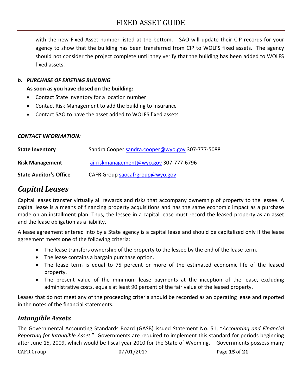with the new Fixed Asset number listed at the bottom. SAO will update their CIP records for your agency to show that the building has been transferred from CIP to WOLFS fixed assets. The agency should not consider the project complete until they verify that the building has been added to WOLFS fixed assets.

#### *b. PURCHASE OF EXISTING BUILDING*

**As soon as you have closed on the building:** 

- Contact State Inventory for a location number
- Contact Risk Management to add the building to insurance
- Contact SAO to have the asset added to WOLFS fixed assets

#### *CONTACT INFORMATION:*

| <b>State Inventory</b>        | Sandra Cooper sandra.cooper@wyo.gov 307-777-5088 |
|-------------------------------|--------------------------------------------------|
| <b>Risk Management</b>        | ai-riskmanagement@wyo.gov 307-777-6796           |
| <b>State Auditor's Office</b> | CAFR Group saocafrgroup@wyo.gov                  |

### *Capital Leases*

Capital leases transfer virtually all rewards and risks that accompany ownership of property to the lessee. A capital lease is a means of financing property acquisitions and has the same economic impact as a purchase made on an installment plan. Thus, the lessee in a capital lease must record the leased property as an asset and the lease obligation as a liability.

A lease agreement entered into by a State agency is a capital lease and should be capitalized only if the lease agreement meets **one** of the following criteria:

- The lease transfers ownership of the property to the lessee by the end of the lease term.
- The lease contains a bargain purchase option.
- The lease term is equal to 75 percent or more of the estimated economic life of the leased property.
- The present value of the minimum lease payments at the inception of the lease, excluding administrative costs, equals at least 90 percent of the fair value of the leased property.

Leases that do not meet any of the proceeding criteria should be recorded as an operating lease and reported in the notes of the financial statements.

### *Intangible Assets*

The Governmental Accounting Standards Board (GASB) issued Statement No. 51, "*Accounting and Financial Reporting for Intangible Asset*." Governments are required to implement this standard for periods beginning after June 15, 2009, which would be fiscal year 2010 for the State of Wyoming. Governments possess many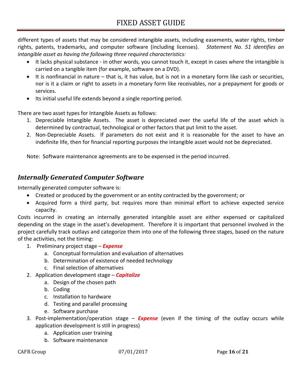different types of assets that may be considered intangible assets, including easements, water rights, timber rights, patents, trademarks, and computer software (including licenses).  *Statement No. 51 identifies an intangible asset as having the following three required characteristics:*

- It lacks physical substance in other words, you cannot touch it, except in cases where the intangible is carried on a tangible item (for example, software on a DVD).
- It is nonfinancial in nature that is, it has value, but is not in a monetary form like cash or securities, nor is it a claim or right to assets in a monetary form like receivables, nor a prepayment for goods or services.
- Its initial useful life extends beyond a single reporting period.

There are two asset types for Intangible Assets as follows:

- 1. Depreciable Intangible Assets. The asset is depreciated over the useful life of the asset which is determined by contractual, technological or other factors that put limit to the asset.
- 2. Non-Depreciable Assets. If parameters do not exist and it is reasonable for the asset to have an indefinite life, then for financial reporting purposes the intangible asset would not be depreciated.

Note: Software maintenance agreements are to be expensed in the period incurred.

### *Internally Generated Computer Software*

Internally generated computer software is:

- Created or produced by the government or an entity contracted by the government; or
- Acquired form a third party, but requires more than minimal effort to achieve expected service capacity.

Costs incurred in creating an internally generated intangible asset are either expensed or capitalized depending on the stage in the asset's development. Therefore it is important that personnel involved in the project carefully track outlays and categorize them into one of the following three stages, based on the nature of the activities, not the timing:

- 1. Preliminary project stage *Expense*
	- a. Conceptual formulation and evaluation of alternatives
	- b. Determination of existence of needed technology
	- c. Final selection of alternatives
- 2. Application development stage *Capitalize*
	- a. Design of the chosen path
	- b. Coding
	- c. Installation to hardware
	- d. Testing and parallel processing
	- e. Software purchase
- 3. Post‐implementation/operation stage *Expense* (even if the timing of the outlay occurs while application development is still in progress)
	- a. Application user training
	- b. Software maintenance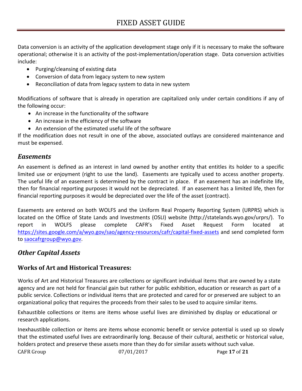Data conversion is an activity of the application development stage only if it is necessary to make the software operational; otherwise it is an activity of the post‐implementation/operation stage. Data conversion activities include:

- Purging/cleansing of existing data
- Conversion of data from legacy system to new system
- Reconciliation of data from legacy system to data in new system

Modifications of software that is already in operation are capitalized only under certain conditions if any of the following occur:

- An increase in the functionality of the software
- An increase in the efficiency of the software
- An extension of the estimated useful life of the software

If the modification does not result in one of the above, associated outlays are considered maintenance and must be expensed.

#### *Easements*

An easement is defined as an interest in land owned by another entity that entitles its holder to a specific limited use or enjoyment (right to use the land). Easements are typically used to access another property. The useful life of an easement is determined by the contract in place. If an easement has an indefinite life, then for financial reporting purposes it would not be depreciated. If an easement has a limited life, then for financial reporting purposes it would be depreciated over the life of the asset (contract).

Easements are entered on both WOLFS and the Uniform Real Property Reporting System (URPRS) which is located on the Office of State Lands and Investments (OSLI) website (http://statelands.wyo.gov/urprs/). To report in WOLFS please complete CAFR's Fixed Asset Request Form located at https://sites.google.com/a/wyo.gov/sao/agency-resources/cafr/capital-fixed-assets and send completed form to saocafrgroup@wyo.gov.

### *Other Capital Assets*

#### **Works of Art and Historical Treasures:**

Works of Art and Historical Treasures are collections or significant individual items that are owned by a state agency and are not held for financial gain but rather for public exhibition, education or research as part of a public service. Collections or individual items that are protected and cared for or preserved are subject to an organizational policy that requires the proceeds from their sales to be used to acquire similar items.

Exhaustible collections or items are items whose useful lives are diminished by display or educational or research applications.

 $O(7/01/2017$  Page 17 of 21 Inexhaustible collection or items are items whose economic benefit or service potential is used up so slowly that the estimated useful lives are extraordinarily long. Because of their cultural, aesthetic or historical value, holders protect and preserve these assets more than they do for similar assets without such value.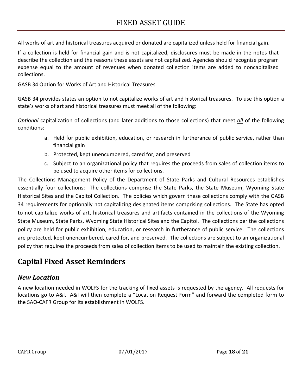All works of art and historical treasures acquired or donated are capitalized unless held for financial gain.

If a collection is held for financial gain and is not capitalized, disclosures must be made in the notes that describe the collection and the reasons these assets are not capitalized. Agencies should recognize program expense equal to the amount of revenues when donated collection items are added to noncapitalized collections.

GASB 34 Option for Works of Art and Historical Treasures

GASB 34 provides states an option to not capitalize works of art and historical treasures. To use this option a state's works of art and historical treasures must meet all of the following:

*Optional* capitalization of collections (and later additions to those collections) that meet *all* of the following conditions:

- a. Held for public exhibition, education, or research in furtherance of public service, rather than financial gain
- b. Protected, kept unencumbered, cared for, and preserved
- c. Subject to an organizational policy that requires the proceeds from sales of collection items to be used to acquire other items for collections.

The Collections Management Policy of the Department of State Parks and Cultural Resources establishes essentially four collections: The collections comprise the State Parks, the State Museum, Wyoming State Historical Sites and the Capitol Collection. The policies which govern these collections comply with the GASB 34 requirements for optionally not capitalizing designated items comprising collections. The State has opted to not capitalize works of art, historical treasures and artifacts contained in the collections of the Wyoming State Museum, State Parks, Wyoming State Historical Sites and the Capitol. The collections per the collections policy are held for public exhibition, education, or research in furtherance of public service. The collections are protected, kept unencumbered, cared for, and preserved. The collections are subject to an organizational policy that requires the proceeds from sales of collection items to be used to maintain the existing collection.

## **Capital Fixed Asset Reminders**

### *New Location*

A new location needed in WOLFS for the tracking of fixed assets is requested by the agency. All requests for locations go to A&I. A&I will then complete a "Location Request Form" and forward the completed form to the SAO‐CAFR Group for its establishment in WOLFS.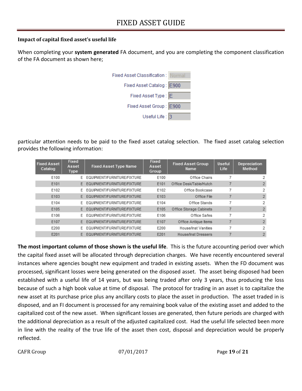#### **Impact of capital fixed asset's useful life**

When completing your **system generated** FA document, and you are completing the component classification of the FA document as shown here;



particular attention needs to be paid to the fixed asset catalog selection. The fixed asset catalog selection provides the following information:

| <b>Fixed Asset</b><br>Catalog | Fixed<br>Asset<br>Type | <b>Fixed Asset Type Name</b>  | Fixed<br>Asset<br>Group | <b>Fixed Asset Group</b><br>Name | Useful.<br>Life | Depreciation<br>Method |
|-------------------------------|------------------------|-------------------------------|-------------------------|----------------------------------|-----------------|------------------------|
| E100                          | F.                     | EQUIPMENT/FURNITURE/FIXTURE   | E100                    | Office Chairs                    |                 | 2                      |
| E101                          |                        | EQUIPMENT/FURNITURE/FIXTURE   | E101                    | Office Desk/Table/Hutch          |                 | $\overline{2}$         |
| E102                          | F.                     | EQUIPMENT/FURNITURE/FIXTURE   | E102                    | Office Bookcase                  |                 | 2                      |
| E103                          |                        | EQUIPMENT/FURNITURE/FIXTURE   | E103                    | Office File                      |                 | $\overline{2}$         |
| E104                          |                        | EQUIPMENT/FURNITURE/FIXTURE   | E104                    | Office Stands                    |                 | 2                      |
| E105                          |                        | EQUIPMENT/FURNITURE/FIXTURE   | E105                    | Office Storage Cabinets          |                 | $\overline{2}$         |
| E106                          | F.                     | EQUIPMENT/FURNITURE/FIXTURE   | E106                    | Office Safes                     |                 | 2                      |
| E107                          |                        | E EQUIPMENT/FURNITURE/FIXTURE | E107                    | Office Antique Items             |                 | $\overline{2}$         |
| F200                          | F.                     | EQUIPMENT/FURNITURE/FIXTURE   | F200                    | House/Inst Vanities              |                 | 2                      |
| E201                          | F.                     | EQUIPMENT/FURNITURE/FIXTURE   | E201                    | House/Inst Dressers              |                 | $\overline{2}$         |

**The most important column of those shown is the useful life**. This is the future accounting period over which the capital fixed asset will be allocated through depreciation charges. We have recently encountered several instances where agencies bought new equipment and traded in existing assets. When the FD document was processed, significant losses were being generated on the disposed asset. The asset being disposed had been established with a useful life of 14 years, but was being traded after only 3 years, thus producing the loss because of such a high book value at time of disposal. The protocol for trading in an asset is to capitalize the new asset at its purchase price plus any ancillary costs to place the asset in production. The asset traded in is disposed, and an FI document is processed for any remaining book value of the existing asset and added to the capitalized cost of the new asset. When significant losses are generated, then future periods are charged with the additional depreciation as a result of the adjusted capitalized cost. Had the useful life selected been more in line with the reality of the true life of the asset then cost, disposal and depreciation would be properly reflected.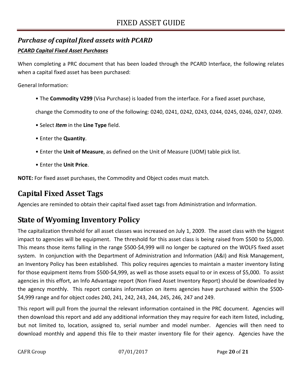### *Purchase of capital fixed assets with PCARD*

#### *PCARD Capital Fixed Asset Purchases*

When completing a PRC document that has been loaded through the PCARD Interface, the following relates when a capital fixed asset has been purchased:

General Information:

• The **Commodity V299** (Visa Purchase) is loaded from the interface. For a fixed asset purchase,

change the Commodity to one of the following: 0240, 0241, 0242, 0243, 0244, 0245, 0246, 0247, 0249.

- Select *Item* in the **Line Type** field.
- Enter the **Quantity**.
- Enter the **Unit of Measure**, as defined on the Unit of Measure (UOM) table pick list.
- Enter the **Unit Price**.

**NOTE:** For fixed asset purchases, the Commodity and Object codes must match.

# **Capital Fixed Asset Tags**

Agencies are reminded to obtain their capital fixed asset tags from Administration and Information.

# **State of Wyoming Inventory Policy**

The capitalization threshold for all asset classes was increased on July 1, 2009. The asset class with the biggest impact to agencies will be equipment. The threshold for this asset class is being raised from \$500 to \$5,000. This means those items falling in the range \$500‐\$4,999 will no longer be captured on the WOLFS fixed asset system. In conjunction with the Department of Administration and Information (A&I) and Risk Management, an Inventory Policy has been established. This policy requires agencies to maintain a master inventory listing for those equipment items from \$500‐\$4,999, as well as those assets equal to or in excess of \$5,000. To assist agencies in this effort, an Info Advantage report (Non Fixed Asset Inventory Report) should be downloaded by the agency monthly. This report contains information on items agencies have purchased within the \$500‐ \$4,999 range and for object codes 240, 241, 242, 243, 244, 245, 246, 247 and 249.

This report will pull from the journal the relevant information contained in the PRC document. Agencies will then download this report and add any additional information they may require for each item listed, including, but not limited to, location, assigned to, serial number and model number. Agencies will then need to download monthly and append this file to their master inventory file for their agency. Agencies have the